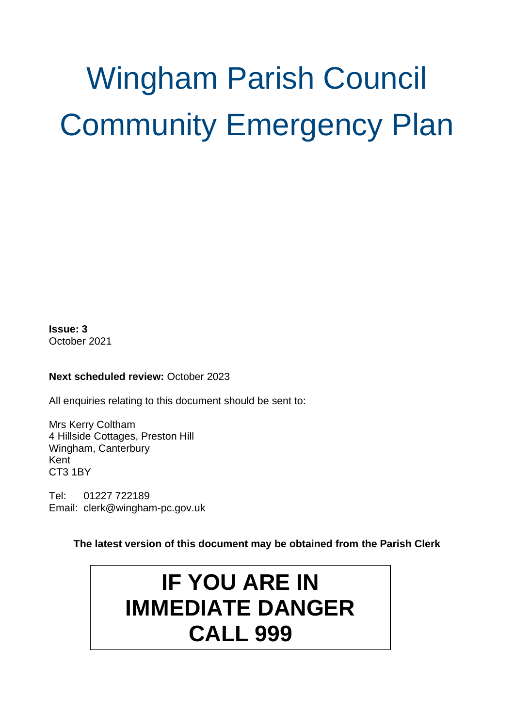# Wingham Parish Council Community Emergency Plan

**Issue: 3** October 2021

#### **Next scheduled review: October 2023**

All enquiries relating to this document should be sent to:

Mrs Kerry Coltham 4 Hillside Cottages, Preston Hill Wingham, Canterbury Kent CT3 1BY

Tel: 01227 722189 Email: clerk@wingham-pc.gov.uk

#### **The latest version of this document may be obtained from the Parish Clerk**

# **IF YOU ARE IN IMMEDIATE DANGER CALL 999**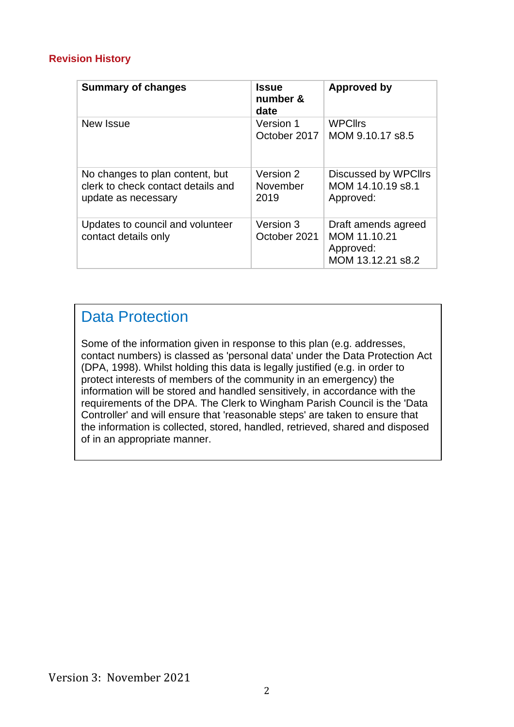#### **Revision History**

| <b>Summary of changes</b>                                                                    | <b>Issue</b><br>number &<br>date | Approved by                                                           |
|----------------------------------------------------------------------------------------------|----------------------------------|-----------------------------------------------------------------------|
| New Issue                                                                                    | Version 1<br>October 2017        | <b>WPCllrs</b><br>MOM 9.10.17 s8.5                                    |
| No changes to plan content, but<br>clerk to check contact details and<br>update as necessary | Version 2<br>November<br>2019    | Discussed by WPCIIrs<br>MOM 14.10.19 s8.1<br>Approved:                |
| Updates to council and volunteer<br>contact details only                                     | Version 3<br>October 2021        | Draft amends agreed<br>MOM 11.10.21<br>Approved:<br>MOM 13.12.21 s8.2 |

## Data Protection

Some of the information given in response to this plan (e.g. addresses, contact numbers) is classed as 'personal data' under the Data Protection Act (DPA, 1998). Whilst holding this data is legally justified (e.g. in order to protect interests of members of the community in an emergency) the information will be stored and handled sensitively, in accordance with the requirements of the DPA. The Clerk to Wingham Parish Council is the 'Data Controller' and will ensure that 'reasonable steps' are taken to ensure that the information is collected, stored, handled, retrieved, shared and disposed of in an appropriate manner.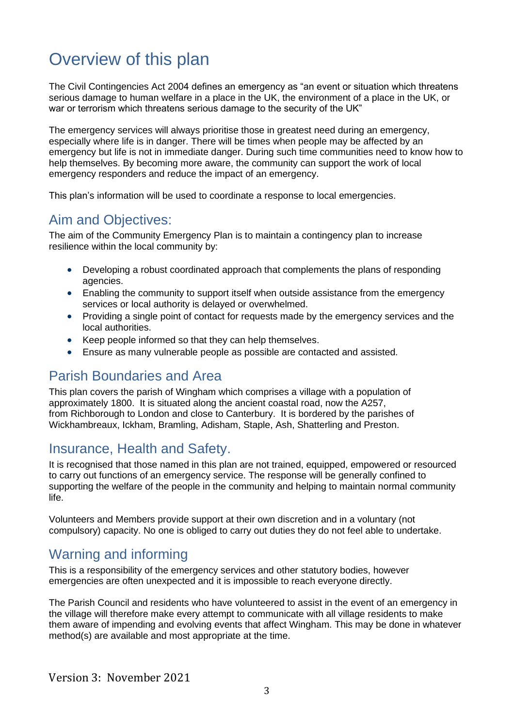## Overview of this plan

The Civil Contingencies Act 2004 defines an emergency as "an event or situation which threatens serious damage to human welfare in a place in the UK, the environment of a place in the UK, or war or terrorism which threatens serious damage to the security of the UK"

The emergency services will always prioritise those in greatest need during an emergency, especially where life is in danger. There will be times when people may be affected by an emergency but life is not in immediate danger. During such time communities need to know how to help themselves. By becoming more aware, the community can support the work of local emergency responders and reduce the impact of an emergency.

This plan's information will be used to coordinate a response to local emergencies.

## Aim and Objectives:

The aim of the Community Emergency Plan is to maintain a contingency plan to increase resilience within the local community by:

- Developing a robust coordinated approach that complements the plans of responding agencies.
- Enabling the community to support itself when outside assistance from the emergency services or local authority is delayed or overwhelmed.
- Providing a single point of contact for requests made by the emergency services and the local authorities.
- Keep people informed so that they can help themselves.
- Ensure as many vulnerable people as possible are contacted and assisted.

## Parish Boundaries and Area

This plan covers the parish of Wingham which comprises a village with a population of approximately 1800. It is situated along the ancient coastal road, now the A257, from [Richborough](http://en.wikipedia.org/wiki/Richborough) to [London](http://en.wikipedia.org/wiki/London) and close to [Canterbury.](http://en.wikipedia.org/wiki/Canterbury) It is bordered by the parishes of Wickhambreaux, Ickham, Bramling, Adisham, Staple, Ash, Shatterling and Preston.

## Insurance, Health and Safety.

It is recognised that those named in this plan are not trained, equipped, empowered or resourced to carry out functions of an emergency service. The response will be generally confined to supporting the welfare of the people in the community and helping to maintain normal community life.

Volunteers and Members provide support at their own discretion and in a voluntary (not compulsory) capacity. No one is obliged to carry out duties they do not feel able to undertake.

## Warning and informing

This is a responsibility of the emergency services and other statutory bodies, however emergencies are often unexpected and it is impossible to reach everyone directly.

The Parish Council and residents who have volunteered to assist in the event of an emergency in the village will therefore make every attempt to communicate with all village residents to make them aware of impending and evolving events that affect Wingham. This may be done in whatever method(s) are available and most appropriate at the time.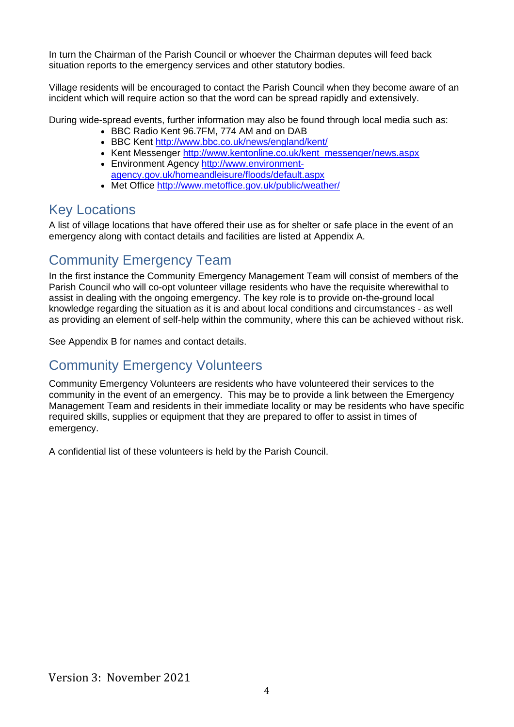In turn the Chairman of the Parish Council or whoever the Chairman deputes will feed back situation reports to the emergency services and other statutory bodies.

Village residents will be encouraged to contact the Parish Council when they become aware of an incident which will require action so that the word can be spread rapidly and extensively.

During wide-spread events, further information may also be found through local media such as:

- BBC Radio Kent 96.7FM, 774 AM and on DAB
- BBC Kent<http://www.bbc.co.uk/news/england/kent/>
- Kent Messenger [http://www.kentonline.co.uk/kent\\_messenger/news.aspx](http://www.kentonline.co.uk/kent_messenger/news.aspx)
- Environment Agency [http://www.environment](http://www.environment-agency.gov.uk/homeandleisure/floods/default.aspx)[agency.gov.uk/homeandleisure/floods/default.aspx](http://www.environment-agency.gov.uk/homeandleisure/floods/default.aspx)
- Met Office<http://www.metoffice.gov.uk/public/weather/>

## Key Locations

A list of village locations that have offered their use as for shelter or safe place in the event of an emergency along with contact details and facilities are listed at Appendix A.

## Community Emergency Team

In the first instance the Community Emergency Management Team will consist of members of the Parish Council who will co-opt volunteer village residents who have the requisite wherewithal to assist in dealing with the ongoing emergency. The key role is to provide on-the-ground local knowledge regarding the situation as it is and about local conditions and circumstances - as well as providing an element of self-help within the community, where this can be achieved without risk.

See Appendix B for names and contact details.

## Community Emergency Volunteers

Community Emergency Volunteers are residents who have volunteered their services to the community in the event of an emergency. This may be to provide a link between the Emergency Management Team and residents in their immediate locality or may be residents who have specific required skills, supplies or equipment that they are prepared to offer to assist in times of emergency.

A confidential list of these volunteers is held by the Parish Council.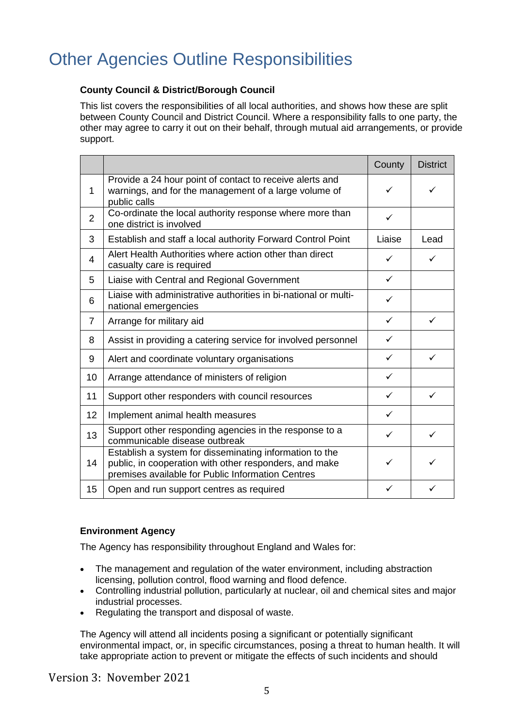# Other Agencies Outline Responsibilities

#### **County Council & District/Borough Council**

This list covers the responsibilities of all local authorities, and shows how these are split between County Council and District Council. Where a responsibility falls to one party, the other may agree to carry it out on their behalf, through mutual aid arrangements, or provide support.

|                |                                                                                                                                                                        | County       | <b>District</b> |
|----------------|------------------------------------------------------------------------------------------------------------------------------------------------------------------------|--------------|-----------------|
| $\mathbf{1}$   | Provide a 24 hour point of contact to receive alerts and<br>warnings, and for the management of a large volume of<br>public calls                                      | ✓            | ✓               |
| $\overline{2}$ | Co-ordinate the local authority response where more than<br>one district is involved                                                                                   | ✓            |                 |
| 3              | Establish and staff a local authority Forward Control Point                                                                                                            | Liaise       | Lead            |
| 4              | Alert Health Authorities where action other than direct<br>casualty care is required                                                                                   | ✓            | ✓               |
| 5              | Liaise with Central and Regional Government                                                                                                                            | $\checkmark$ |                 |
| 6              | Liaise with administrative authorities in bi-national or multi-<br>national emergencies                                                                                | ✓            |                 |
| 7              | Arrange for military aid                                                                                                                                               | $\checkmark$ | $\checkmark$    |
| 8              | Assist in providing a catering service for involved personnel                                                                                                          | $\checkmark$ |                 |
| 9              | Alert and coordinate voluntary organisations                                                                                                                           | $\checkmark$ | $\checkmark$    |
| 10             | Arrange attendance of ministers of religion                                                                                                                            | ✓            |                 |
| 11             | Support other responders with council resources                                                                                                                        | $\checkmark$ | ✓               |
| 12             | Implement animal health measures                                                                                                                                       | ✓            |                 |
| 13             | Support other responding agencies in the response to a<br>communicable disease outbreak                                                                                | ✓            | ✓               |
| 14             | Establish a system for disseminating information to the<br>public, in cooperation with other responders, and make<br>premises available for Public Information Centres | ✓            |                 |
| 15             | Open and run support centres as required                                                                                                                               | ✓            | ✓               |

#### **Environment Agency**

The Agency has responsibility throughout England and Wales for:

- The management and regulation of the water environment, including abstraction licensing, pollution control, flood warning and flood defence.
- Controlling industrial pollution, particularly at nuclear, oil and chemical sites and major industrial processes.
- Regulating the transport and disposal of waste.

The Agency will attend all incidents posing a significant or potentially significant environmental impact, or, in specific circumstances, posing a threat to human health. It will take appropriate action to prevent or mitigate the effects of such incidents and should

Version 3: November 2021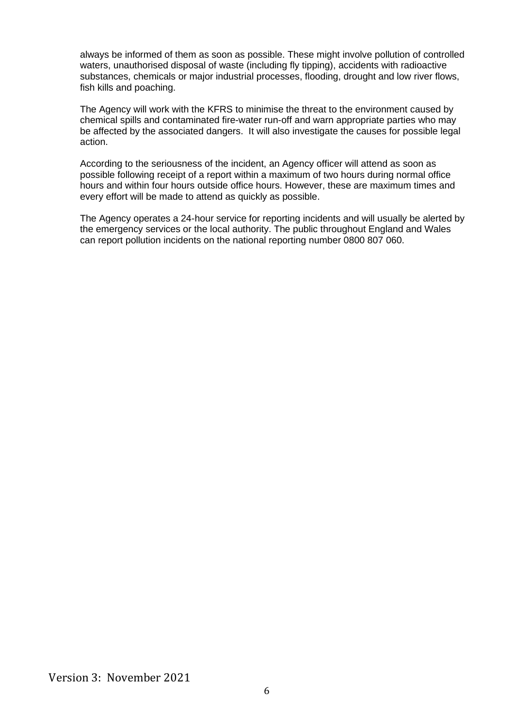always be informed of them as soon as possible. These might involve pollution of controlled waters, unauthorised disposal of waste (including fly tipping), accidents with radioactive substances, chemicals or major industrial processes, flooding, drought and low river flows, fish kills and poaching.

The Agency will work with the KFRS to minimise the threat to the environment caused by chemical spills and contaminated fire-water run-off and warn appropriate parties who may be affected by the associated dangers. It will also investigate the causes for possible legal action.

According to the seriousness of the incident, an Agency officer will attend as soon as possible following receipt of a report within a maximum of two hours during normal office hours and within four hours outside office hours. However, these are maximum times and every effort will be made to attend as quickly as possible.

The Agency operates a 24-hour service for reporting incidents and will usually be alerted by the emergency services or the local authority. The public throughout England and Wales can report pollution incidents on the national reporting number 0800 807 060.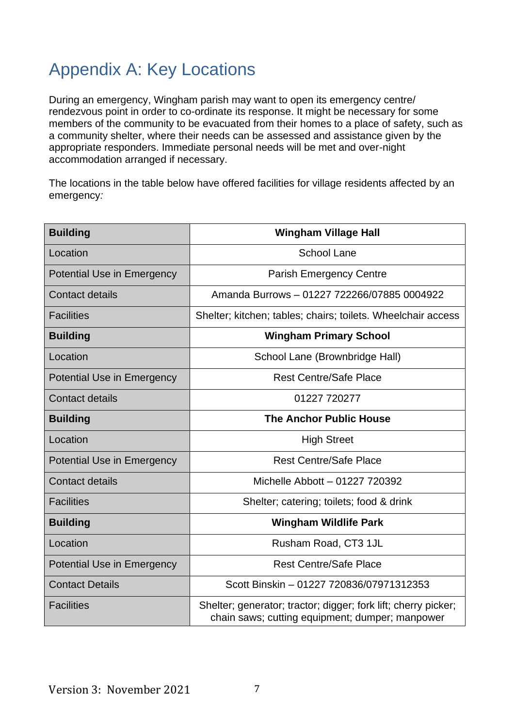# Appendix A: Key Locations

During an emergency, Wingham parish may want to open its emergency centre/ rendezvous point in order to co-ordinate its response. It might be necessary for some members of the community to be evacuated from their homes to a place of safety, such as a community shelter, where their needs can be assessed and assistance given by the appropriate responders. Immediate personal needs will be met and over-night accommodation arranged if necessary.

The locations in the table below have offered facilities for village residents affected by an emergency*:*

| <b>Building</b>                   | <b>Wingham Village Hall</b>                                                                                       |  |
|-----------------------------------|-------------------------------------------------------------------------------------------------------------------|--|
| Location                          | <b>School Lane</b>                                                                                                |  |
| <b>Potential Use in Emergency</b> | <b>Parish Emergency Centre</b>                                                                                    |  |
| <b>Contact details</b>            | Amanda Burrows - 01227 722266/07885 0004922                                                                       |  |
| <b>Facilities</b>                 | Shelter; kitchen; tables; chairs; toilets. Wheelchair access                                                      |  |
| <b>Building</b>                   | <b>Wingham Primary School</b>                                                                                     |  |
| Location                          | School Lane (Brownbridge Hall)                                                                                    |  |
| <b>Potential Use in Emergency</b> | <b>Rest Centre/Safe Place</b>                                                                                     |  |
| <b>Contact details</b>            | 01227 720277                                                                                                      |  |
| <b>Building</b>                   | <b>The Anchor Public House</b>                                                                                    |  |
| Location                          | <b>High Street</b>                                                                                                |  |
| <b>Potential Use in Emergency</b> | <b>Rest Centre/Safe Place</b>                                                                                     |  |
| <b>Contact details</b>            | Michelle Abbott - 01227 720392                                                                                    |  |
| <b>Facilities</b>                 | Shelter; catering; toilets; food & drink                                                                          |  |
| <b>Building</b>                   | <b>Wingham Wildlife Park</b>                                                                                      |  |
| Location                          | Rusham Road, CT3 1JL                                                                                              |  |
| <b>Potential Use in Emergency</b> | <b>Rest Centre/Safe Place</b>                                                                                     |  |
| <b>Contact Details</b>            | Scott Binskin - 01227 720836/07971312353                                                                          |  |
| <b>Facilities</b>                 | Shelter; generator; tractor; digger; fork lift; cherry picker;<br>chain saws; cutting equipment; dumper; manpower |  |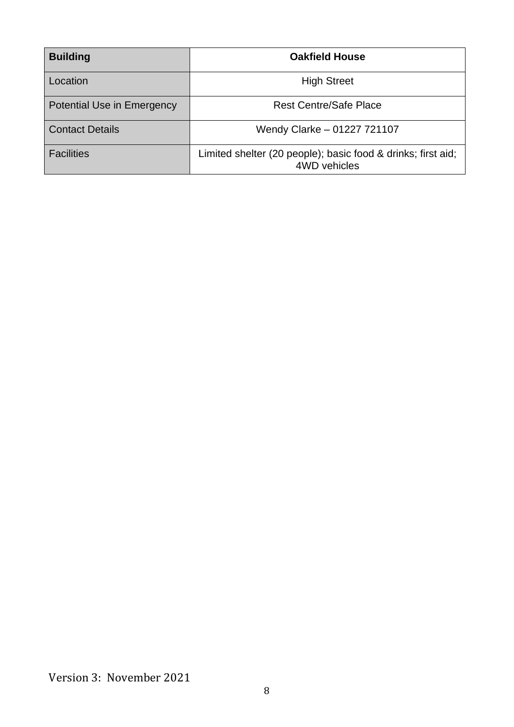| <b>Building</b>            | <b>Oakfield House</b>                                                        |  |
|----------------------------|------------------------------------------------------------------------------|--|
| Location                   | <b>High Street</b>                                                           |  |
| Potential Use in Emergency | <b>Rest Centre/Safe Place</b>                                                |  |
| <b>Contact Details</b>     | Wendy Clarke - 01227 721107                                                  |  |
| <b>Facilities</b>          | Limited shelter (20 people); basic food & drinks; first aid;<br>4WD vehicles |  |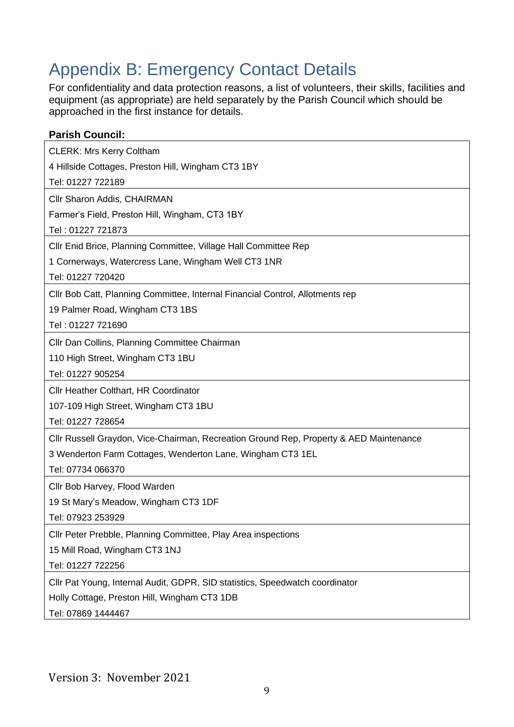# Appendix B: Emergency Contact Details

For confidentiality and data protection reasons, a list of volunteers, their skills, facilities and equipment (as appropriate) are held separately by the Parish Council which should be approached in the first instance for details.

| <b>Parish Council:</b>                                                                 |
|----------------------------------------------------------------------------------------|
| <b>CLERK: Mrs Kerry Coltham</b>                                                        |
| 4 Hillside Cottages, Preston Hill, Wingham CT3 1BY                                     |
| Tel: 01227 722189                                                                      |
| Cllr Sharon Addis, CHAIRMAN                                                            |
| Farmer's Field, Preston Hill, Wingham, CT3 1BY                                         |
| Tel: 01227 721873                                                                      |
| CIIr Enid Brice, Planning Committee, Village Hall Committee Rep                        |
| 1 Cornerways, Watercress Lane, Wingham Well CT3 1NR                                    |
| Tel: 01227 720420                                                                      |
| CIIr Bob Catt, Planning Committee, Internal Financial Control, Allotments rep          |
| 19 Palmer Road, Wingham CT3 1BS                                                        |
| Tel: 01227 721690                                                                      |
| Cllr Dan Collins, Planning Committee Chairman                                          |
| 110 High Street, Wingham CT3 1BU                                                       |
| Tel: 01227 905254                                                                      |
| Cllr Heather Colthart, HR Coordinator                                                  |
| 107-109 High Street, Wingham CT3 1BU                                                   |
| Tel: 01227 728654                                                                      |
| CIIr Russell Graydon, Vice-Chairman, Recreation Ground Rep, Property & AED Maintenance |
| 3 Wenderton Farm Cottages, Wenderton Lane, Wingham CT3 1EL                             |
| Tel: 07734 066370                                                                      |
| Cllr Bob Harvey, Flood Warden                                                          |
| 19 St Mary's Meadow, Wingham CT3 1DF                                                   |
| Tel: 07923 253929                                                                      |
| Cllr Peter Prebble, Planning Committee, Play Area inspections                          |
| 15 Mill Road, Wingham CT3 1NJ                                                          |
| Tel: 01227 722256                                                                      |
| Cllr Pat Young, Internal Audit, GDPR, SID statistics, Speedwatch coordinator           |
| Holly Cottage, Preston Hill, Wingham CT3 1DB                                           |
| Tel: 07869 1444467                                                                     |